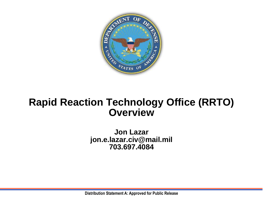

## **Rapid Reaction Technology Office (RRTO) Overview**

**Jon Lazar jon.e.lazar.civ@mail.mil 703.697.4084**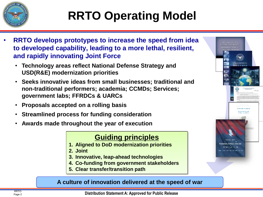

# **RRTO Operating Model**

- **RRTO develops prototypes to increase the speed from idea to developed capability, leading to a more lethal, resilient, and rapidly innovating Joint Force**
	- **Technology areas reflect National Defense Strategy and USD(R&E) modernization priorities**
	- **Seeks innovative ideas from small businesses; traditional and non-traditional performers; academia; CCMDs; Services; government labs; FFRDCs & UARCs**
	- **Proposals accepted on a rolling basis**
	- **Streamlined process for funding consideration**
	- **Awards made throughout the year of execution**

### **Guiding principles**

- **1. Aligned to DoD modernization priorities**
- **2. Joint**
- **3. Innovative, leap-ahead technologies**
- **4. Co-funding from government stakeholders**
- **5. Clear transfer/transition path**

#### **A culture of innovation delivered at the speed of war**

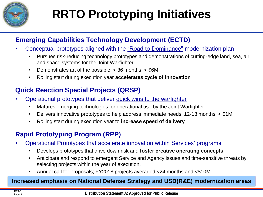

# **RRTO Prototyping Initiatives**

### **Emerging Capabilities Technology Development (ECTD)**

- Conceptual prototypes aligned with the "Road to Dominance" modernization plan
	- Pursues risk-reducing technology prototypes and demonstrations of cutting-edge land, sea, air, and space systems for the Joint Warfighter
	- Demonstrates art of the possible; < 36 months, < \$6M
	- Rolling start during execution year **accelerates cycle of innovation**

### **Quick Reaction Special Projects (QRSP)**

- Operational prototypes that deliver quick wins to the warfighter
	- Matures emerging technologies for operational use by the Joint Warfighter
	- Delivers innovative prototypes to help address immediate needs; 12-18 months, < \$1M
	- Rolling start during execution year to **increase speed of delivery**

### **Rapid Prototyping Program (RPP)**

- Operational Prototypes that accelerate innovation within Services' programs
	- Develops prototypes that drive down risk and **foster creative operating concepts**
	- Anticipate and respond to emergent Service and Agency issues and time-sensitive threats by selecting projects within the year of execution.
	- Annual call for proposals; FY2018 projects averaged <24 months and <\$10M

#### **Increased emphasis on National Defense Strategy and USD(R&E) modernization areas**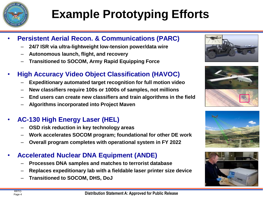

# **Example Prototyping Efforts**

#### • **Persistent Aerial Recon. & Communications (PARC)**

- **24/7 ISR via ultra-lightweight low-tension power/data wire**
- **Autonomous launch, flight, and recovery**
- **Transitioned to SOCOM, Army Rapid Equipping Force**

### • **High Accuracy Video Object Classification (HAVOC)**

- **Expeditionary automated target recognition for full motion video**
- **New classifiers require 100s or 1000s of samples, not millions**
- **End users can create new classifiers and train algorithms in the field**
- **Algorithms incorporated into Project Maven**

### • **AC-130 High Energy Laser (HEL)**

- **OSD risk reduction in key technology areas**
- **Work accelerates SOCOM program; foundational for other DE work**
- **Overall program completes with operational system in FY 2022**

#### • **Accelerated Nuclear DNA Equipment (ANDE)**

- **Processes DNA samples and matches to terrorist database**
- **Replaces expeditionary lab with a fieldable laser printer size device**
- **Transitioned to SOCOM, DHS, DoJ**







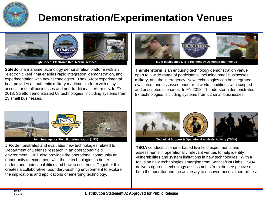

# **Demonstration/Experimentation Venues**



**High Speed, Electronic Keel Marine Testbed**

**Stiletto** is a maritime technology demonstration platform with an "electronic keel" that enables rapid integration, demonstration, and experimentation with new technologies. The 88-foot experimental boat provides an authentic military maritime platform with easy access for small businesses and non-traditional performers. In FY 2018, Stiletto demonstrated 68 technologies, including systems from 23 small businesses.



**Multi-Intelligence & ISR Technology Demonstration Venue** 

**Thunderstorm** is an enduring technology demonstration venue open to a wide range of participants, including small businesses, military, and the interagency. New technologies can be integrated, evaluated, and assessed under real world conditions with scripted and unscripted scenarios. In FY 2018, Thunderstorm demonstrated 87 technologies, including systems from 52 small businesses.



**JIFX** demonstrates and evaluates new technologies related to Department of Defense research in an operational field environment. JIFX also provides the operational community an opportunity to experiment with these technologies to better understand their capabilities and how to use them. Together this creates a collaborative, boundary-pushing environment to explore the implications and applications of emerging technology.



**Joint Interagency Field Experimentation (JIFX) Technical Support & Operational Analysis Activity (TSOA)** 

**TSOA** conducts scenario-based live field experiments and assessments in operationally relevant venues to help identify vulnerabilities and system limitations in new technologies. With a focus on new technologies emerging from Service/DoD labs, TSOA delivers rigorous technology assessments from the perspective of both the operator and the adversary to uncover these vulnerabilities.